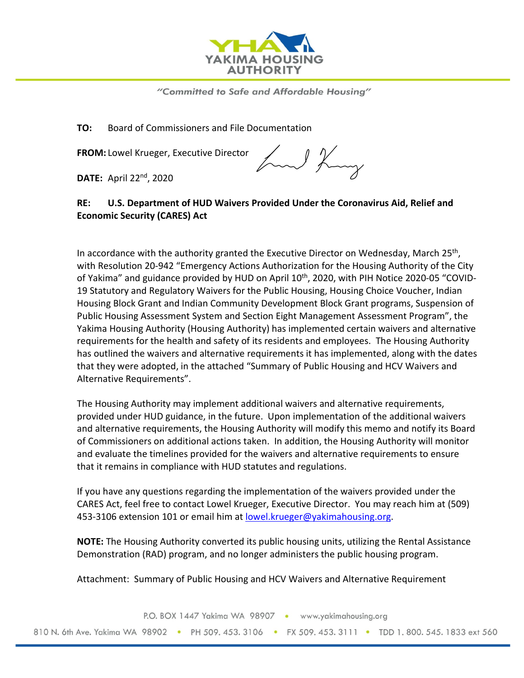

"Committed to Safe and Affordable Housing"

**TO:** Board of Commissioners and File Documentation

**FROM:** Lowel Krueger, Executive Director

**DATE:** April 22nd, 2020

hand King

## **RE: U.S. Department of HUD Waivers Provided Under the Coronavirus Aid, Relief and Economic Security (CARES) Act**

In accordance with the authority granted the Executive Director on Wednesday, March  $25<sup>th</sup>$ , with Resolution 20-942 "Emergency Actions Authorization for the Housing Authority of the City of Yakima" and guidance provided by HUD on April 10<sup>th</sup>, 2020, with PIH Notice 2020-05 "COVID-19 Statutory and Regulatory Waivers for the Public Housing, Housing Choice Voucher, Indian Housing Block Grant and Indian Community Development Block Grant programs, Suspension of Public Housing Assessment System and Section Eight Management Assessment Program", the Yakima Housing Authority (Housing Authority) has implemented certain waivers and alternative requirements for the health and safety of its residents and employees. The Housing Authority has outlined the waivers and alternative requirements it has implemented, along with the dates that they were adopted, in the attached "Summary of Public Housing and HCV Waivers and Alternative Requirements".

The Housing Authority may implement additional waivers and alternative requirements, provided under HUD guidance, in the future. Upon implementation of the additional waivers and alternative requirements, the Housing Authority will modify this memo and notify its Board of Commissioners on additional actions taken. In addition, the Housing Authority will monitor and evaluate the timelines provided for the waivers and alternative requirements to ensure that it remains in compliance with HUD statutes and regulations.

If you have any questions regarding the implementation of the waivers provided under the CARES Act, feel free to contact Lowel Krueger, Executive Director. You may reach him at (509) 453-3106 extension 101 or email him at [lowel.krueger@yakimahousing.org.](mailto:lowel.krueger@yakimahousing.org)

**NOTE:** The Housing Authority converted its public housing units, utilizing the Rental Assistance Demonstration (RAD) program, and no longer administers the public housing program.

Attachment: Summary of Public Housing and HCV Waivers and Alternative Requirement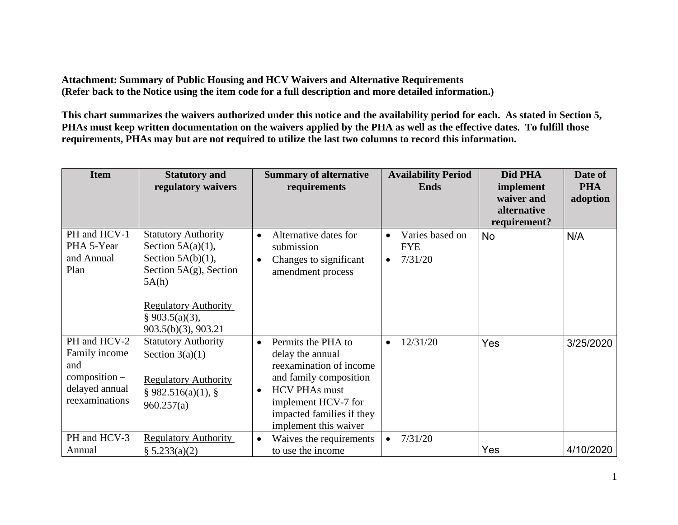**Attachment: Summary of Public Housing and HCV Waivers and Alternative Requirements (Refer back to the Notice using the item code for a full description and more detailed information.)** 

**This chart summarizes the waivers authorized under this notice and the availability period for each. As stated in Section 5, PHAs must keep written documentation on the waivers applied by the PHA as well as the effective dates. To fulfill those requirements, PHAs may but are not required to utilize the last two columns to record this information.** 

| <b>Item</b>                                                                                 | <b>Statutory and</b><br>regulatory waivers                                                                                                                                               | <b>Summary of alternative</b><br>requirements                                                                                                                                                                              | <b>Availability Period</b><br><b>Ends</b>             | Did PHA<br>implement<br>waiver and<br>alternative<br>requirement? | Date of<br><b>PHA</b><br>adoption |
|---------------------------------------------------------------------------------------------|------------------------------------------------------------------------------------------------------------------------------------------------------------------------------------------|----------------------------------------------------------------------------------------------------------------------------------------------------------------------------------------------------------------------------|-------------------------------------------------------|-------------------------------------------------------------------|-----------------------------------|
| PH and HCV-1<br>PHA 5-Year<br>and Annual<br>Plan                                            | <b>Statutory Authority</b><br>Section $5A(a)(1)$ ,<br>Section $5A(b)(1)$ ,<br>Section $5A(g)$ , Section<br>5A(h)<br><b>Regulatory Authority</b><br>§ 903.5(a)(3),<br>903.5(b)(3), 903.21 | Alternative dates for<br>$\bullet$<br>submission<br>Changes to significant<br>$\bullet$<br>amendment process                                                                                                               | Varies based on<br><b>FYE</b><br>7/31/20<br>$\bullet$ | No                                                                | N/A                               |
| PH and HCV-2<br>Family income<br>and<br>$composition -$<br>delayed annual<br>reexaminations | <b>Statutory Authority</b><br>Section $3(a)(1)$<br><b>Regulatory Authority</b><br>§ 982.516(a)(1), §<br>960.257(a)                                                                       | Permits the PHA to<br>$\bullet$<br>delay the annual<br>reexamination of income<br>and family composition<br><b>HCV PHAs must</b><br>$\bullet$<br>implement HCV-7 for<br>impacted families if they<br>implement this waiver | 12/31/20                                              | Yes                                                               | 3/25/2020                         |
| PH and HCV-3<br>Annual                                                                      | <b>Regulatory Authority</b><br>§ 5.233(a)(2)                                                                                                                                             | Waives the requirements<br>$\bullet$<br>to use the income                                                                                                                                                                  | 7/31/20                                               | Yes                                                               | 4/10/2020                         |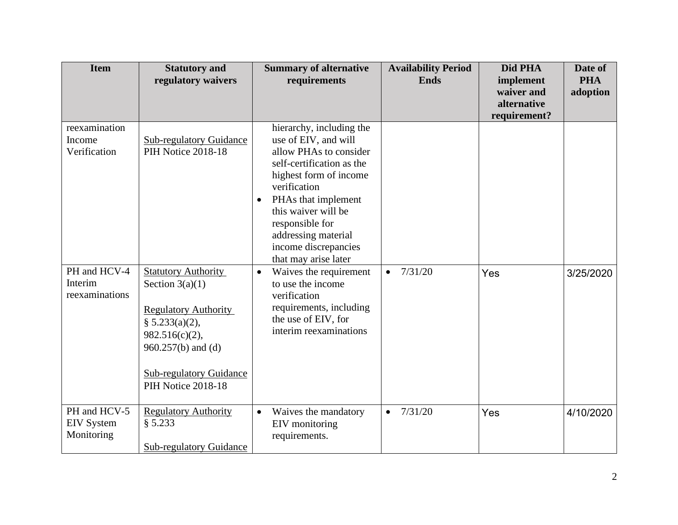| <b>Item</b>                                                                          | <b>Statutory and</b><br>regulatory waivers                                                                                                                                 | <b>Summary of alternative</b><br>requirements                                                                                                                                                                                                                                                                                                                                                                                                                  | <b>Availability Period</b><br><b>Ends</b> | Did PHA<br>implement<br>waiver and<br>alternative | Date of<br><b>PHA</b><br>adoption |
|--------------------------------------------------------------------------------------|----------------------------------------------------------------------------------------------------------------------------------------------------------------------------|----------------------------------------------------------------------------------------------------------------------------------------------------------------------------------------------------------------------------------------------------------------------------------------------------------------------------------------------------------------------------------------------------------------------------------------------------------------|-------------------------------------------|---------------------------------------------------|-----------------------------------|
| reexamination<br>Income<br>Verification<br>PH and HCV-4<br>Interim<br>reexaminations | <b>Sub-regulatory Guidance</b><br>PIH Notice 2018-18<br><b>Statutory Authority</b><br>Section $3(a)(1)$<br><b>Regulatory Authority</b><br>§ 5.233(a)(2),                   | hierarchy, including the<br>use of EIV, and will<br>allow PHAs to consider<br>self-certification as the<br>highest form of income<br>verification<br>PHAs that implement<br>$\bullet$<br>this waiver will be<br>responsible for<br>addressing material<br>income discrepancies<br>that may arise later<br>Waives the requirement<br>$\bullet$<br>to use the income<br>verification<br>requirements, including<br>the use of EIV, for<br>interim reexaminations | 7/31/20<br>$\bullet$                      | requirement?<br>Yes                               | 3/25/2020                         |
| PH and HCV-5<br><b>EIV</b> System<br>Monitoring                                      | 982.516(c)(2),<br>$960.257(b)$ and (d)<br><b>Sub-regulatory Guidance</b><br>PIH Notice 2018-18<br><b>Regulatory Authority</b><br>§ 5.233<br><b>Sub-regulatory Guidance</b> | Waives the mandatory<br>$\bullet$<br>EIV monitoring<br>requirements.                                                                                                                                                                                                                                                                                                                                                                                           | 7/31/20<br>$\bullet$                      | Yes                                               | 4/10/2020                         |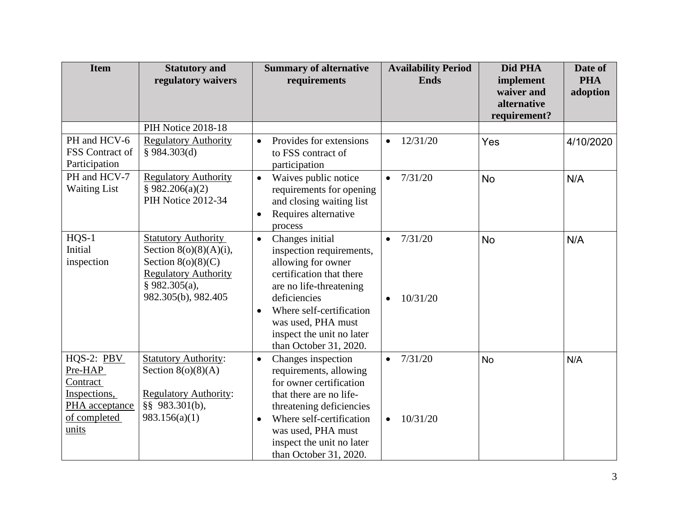| <b>Item</b>                                                                                    | <b>Statutory and</b><br>regulatory waivers                                                                                                               | <b>Summary of alternative</b><br>requirements                                                                                                                                                                                                                                               | <b>Availability Period</b><br><b>Ends</b>     | Did PHA<br>implement<br>waiver and<br>alternative<br>requirement? | Date of<br><b>PHA</b><br>adoption |
|------------------------------------------------------------------------------------------------|----------------------------------------------------------------------------------------------------------------------------------------------------------|---------------------------------------------------------------------------------------------------------------------------------------------------------------------------------------------------------------------------------------------------------------------------------------------|-----------------------------------------------|-------------------------------------------------------------------|-----------------------------------|
|                                                                                                | PIH Notice 2018-18                                                                                                                                       |                                                                                                                                                                                                                                                                                             |                                               |                                                                   |                                   |
| PH and HCV-6<br>FSS Contract of<br>Participation                                               | <b>Regulatory Authority</b><br>§ 984.303(d)                                                                                                              | Provides for extensions<br>$\bullet$<br>to FSS contract of<br>participation                                                                                                                                                                                                                 | 12/31/20<br>$\bullet$                         | Yes                                                               | 4/10/2020                         |
| PH and HCV-7<br><b>Waiting List</b>                                                            | <b>Regulatory Authority</b><br>§ 982.206(a)(2)<br>PIH Notice 2012-34                                                                                     | Waives public notice<br>$\bullet$<br>requirements for opening<br>and closing waiting list<br>Requires alternative<br>$\bullet$<br>process                                                                                                                                                   | 7/31/20<br>$\bullet$                          | <b>No</b>                                                         | N/A                               |
| $HQS-1$<br>Initial<br>inspection                                                               | <b>Statutory Authority</b><br>Section $8(o)(8)(A)(i)$ ,<br>Section $8(o)(8)(C)$<br><b>Regulatory Authority</b><br>$§$ 982.305(a),<br>982.305(b), 982.405 | Changes initial<br>$\bullet$<br>inspection requirements,<br>allowing for owner<br>certification that there<br>are no life-threatening<br>deficiencies<br>Where self-certification<br>$\bullet$<br>was used, PHA must<br>inspect the unit no later                                           | 7/31/20<br>$\bullet$<br>10/31/20<br>$\bullet$ | <b>No</b>                                                         | N/A                               |
| $HQS-2: PBV$<br>Pre-HAP<br>Contract<br>Inspections,<br>PHA acceptance<br>of completed<br>units | <b>Statutory Authority:</b><br>Section $8(o)(8)(A)$<br><b>Regulatory Authority:</b><br>§§ 983.301(b),<br>983.156(a)(1)                                   | than October 31, 2020.<br>Changes inspection<br>$\bullet$<br>requirements, allowing<br>for owner certification<br>that there are no life-<br>threatening deficiencies<br>Where self-certification<br>$\bullet$<br>was used, PHA must<br>inspect the unit no later<br>than October 31, 2020. | 7/31/20<br>$\bullet$<br>10/31/20<br>$\bullet$ | <b>No</b>                                                         | N/A                               |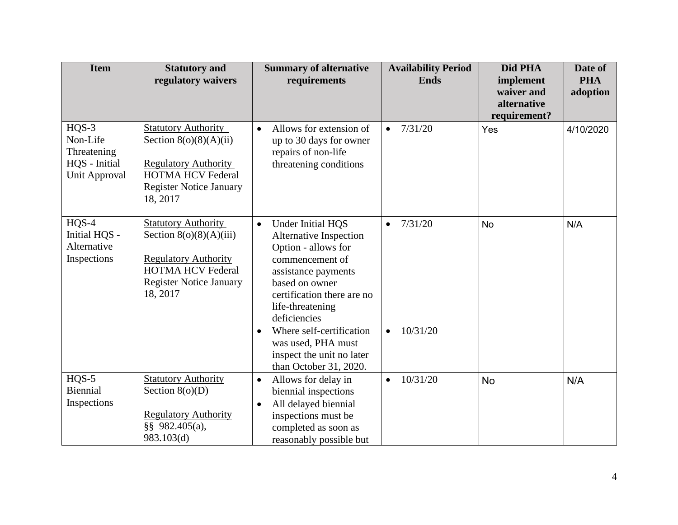| <b>Item</b>                                                                 | <b>Statutory and</b><br>regulatory waivers                                                                                                                       | <b>Summary of alternative</b><br>requirements                                                                                                                                                                                                                                                                                       | <b>Availability Period</b><br><b>Ends</b>     | Did PHA<br>implement<br>waiver and<br>alternative<br>requirement? | Date of<br><b>PHA</b><br>adoption |
|-----------------------------------------------------------------------------|------------------------------------------------------------------------------------------------------------------------------------------------------------------|-------------------------------------------------------------------------------------------------------------------------------------------------------------------------------------------------------------------------------------------------------------------------------------------------------------------------------------|-----------------------------------------------|-------------------------------------------------------------------|-----------------------------------|
| $HQS-3$<br>Non-Life<br>Threatening<br>HQS - Initial<br><b>Unit Approval</b> | <b>Statutory Authority</b><br>Section $8(o)(8)(A)(ii)$<br><b>Regulatory Authority</b><br><b>HOTMA HCV Federal</b><br><b>Register Notice January</b><br>18, 2017  | Allows for extension of<br>$\bullet$<br>up to 30 days for owner<br>repairs of non-life<br>threatening conditions                                                                                                                                                                                                                    | 7/31/20<br>$\bullet$                          | Yes                                                               | 4/10/2020                         |
| $HQS-4$<br>Initial HQS -<br>Alternative<br>Inspections                      | <b>Statutory Authority</b><br>Section $8(0)(8)(A)(iii)$<br><b>Regulatory Authority</b><br><b>HOTMA HCV Federal</b><br><b>Register Notice January</b><br>18, 2017 | Under Initial HQS<br>$\bullet$<br>Alternative Inspection<br>Option - allows for<br>commencement of<br>assistance payments<br>based on owner<br>certification there are no<br>life-threatening<br>deficiencies<br>Where self-certification<br>$\bullet$<br>was used, PHA must<br>inspect the unit no later<br>than October 31, 2020. | 7/31/20<br>$\bullet$<br>10/31/20<br>$\bullet$ | <b>No</b>                                                         | N/A                               |
| $HQS-5$<br>Biennial<br>Inspections                                          | <b>Statutory Authority</b><br>Section $8(o)(D)$<br><b>Regulatory Authority</b><br>§§ 982.405(a),<br>983.103(d)                                                   | Allows for delay in<br>$\bullet$<br>biennial inspections<br>All delayed biennial<br>$\bullet$<br>inspections must be<br>completed as soon as<br>reasonably possible but                                                                                                                                                             | 10/31/20<br>$\bullet$                         | <b>No</b>                                                         | N/A                               |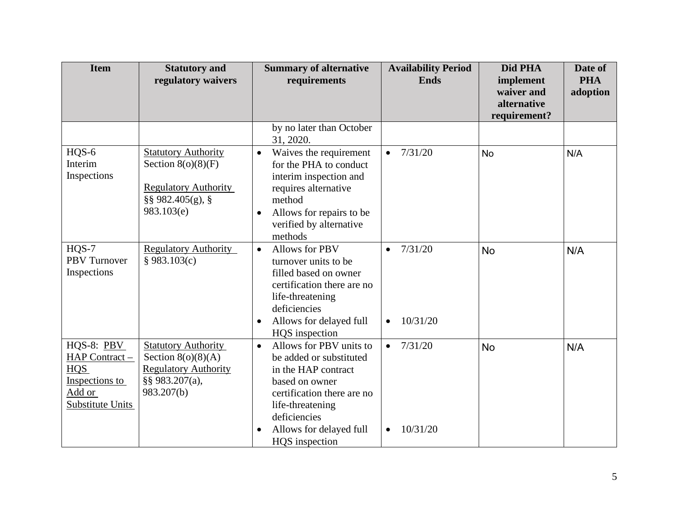| <b>Item</b>                                                                                | <b>Statutory and</b><br>regulatory waivers                                                                              | <b>Summary of alternative</b><br>requirements                                                                                                                                                                                        | <b>Availability Period</b><br><b>Ends</b>     | Did PHA<br>implement<br>waiver and<br>alternative<br>requirement? | Date of<br><b>PHA</b><br>adoption |
|--------------------------------------------------------------------------------------------|-------------------------------------------------------------------------------------------------------------------------|--------------------------------------------------------------------------------------------------------------------------------------------------------------------------------------------------------------------------------------|-----------------------------------------------|-------------------------------------------------------------------|-----------------------------------|
|                                                                                            |                                                                                                                         | by no later than October<br>31, 2020.                                                                                                                                                                                                |                                               |                                                                   |                                   |
| HQS-6<br>Interim<br>Inspections                                                            | <b>Statutory Authority</b><br>Section $8(o)(8)(F)$<br><b>Regulatory Authority</b><br>$\S$ § 982.405(g), §<br>983.103(e) | Waives the requirement<br>$\bullet$<br>for the PHA to conduct<br>interim inspection and<br>requires alternative<br>method<br>Allows for repairs to be<br>$\bullet$<br>verified by alternative<br>methods                             | 7/31/20<br>$\bullet$                          | <b>No</b>                                                         | N/A                               |
| $HOS-7$<br><b>PBV</b> Turnover<br>Inspections                                              | <b>Regulatory Authority</b><br>§ 983.103(c)                                                                             | <b>Allows for PBV</b><br>$\bullet$<br>turnover units to be<br>filled based on owner<br>certification there are no<br>life-threatening<br>deficiencies<br>Allows for delayed full<br>$\bullet$<br>HQS inspection                      | 7/31/20<br>$\bullet$<br>10/31/20<br>$\bullet$ | <b>No</b>                                                         | N/A                               |
| HQS-8: PBV<br>HAP Contract -<br>HQS<br>Inspections to<br>Add or<br><b>Substitute Units</b> | <b>Statutory Authority</b><br>Section $8(o)(8)(A)$<br><b>Regulatory Authority</b><br>§§ 983.207(a),<br>983.207(b)       | Allows for PBV units to<br>$\bullet$<br>be added or substituted<br>in the HAP contract<br>based on owner<br>certification there are no<br>life-threatening<br>deficiencies<br>Allows for delayed full<br>$\bullet$<br>HQS inspection | 7/31/20<br>$\bullet$<br>10/31/20<br>$\bullet$ | <b>No</b>                                                         | N/A                               |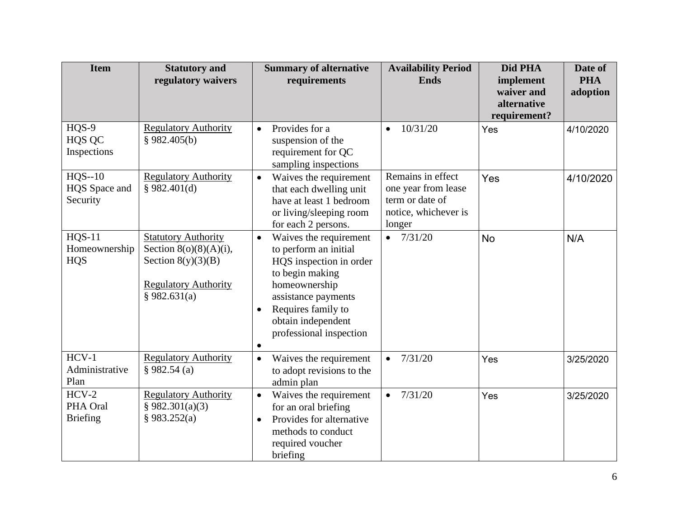| <b>Item</b>                                  | <b>Statutory and</b><br>regulatory waivers                                                                                     | <b>Summary of alternative</b><br>requirements                                                                                                                                                                                                       | <b>Availability Period</b><br><b>Ends</b>                                                     | Did PHA<br>implement<br>waiver and<br>alternative<br>requirement? | Date of<br><b>PHA</b><br>adoption |
|----------------------------------------------|--------------------------------------------------------------------------------------------------------------------------------|-----------------------------------------------------------------------------------------------------------------------------------------------------------------------------------------------------------------------------------------------------|-----------------------------------------------------------------------------------------------|-------------------------------------------------------------------|-----------------------------------|
| HQS-9<br>HQS QC<br>Inspections               | <b>Regulatory Authority</b><br>§ 982.405(b)                                                                                    | Provides for a<br>$\bullet$<br>suspension of the<br>requirement for QC<br>sampling inspections                                                                                                                                                      | 10/31/20<br>$\bullet$                                                                         | Yes                                                               | 4/10/2020                         |
| $HQS-10$<br>HQS Space and<br>Security        | <b>Regulatory Authority</b><br>\$982.401(d)                                                                                    | Waives the requirement<br>$\bullet$<br>that each dwelling unit<br>have at least 1 bedroom<br>or living/sleeping room<br>for each 2 persons.                                                                                                         | Remains in effect<br>one year from lease<br>term or date of<br>notice, whichever is<br>longer | Yes                                                               | 4/10/2020                         |
| <b>HQS-11</b><br>Homeownership<br><b>HQS</b> | <b>Statutory Authority</b><br>Section $8(0)(8)(A)(i)$ ,<br>Section $8(y)(3)(B)$<br><b>Regulatory Authority</b><br>§ 982.631(a) | Waives the requirement<br>$\bullet$<br>to perform an initial<br>HQS inspection in order<br>to begin making<br>homeownership<br>assistance payments<br>Requires family to<br>$\bullet$<br>obtain independent<br>professional inspection<br>$\bullet$ | $\bullet$ 7/31/20                                                                             | <b>No</b>                                                         | N/A                               |
| $HCV-1$<br>Administrative<br>Plan            | <b>Regulatory Authority</b><br>§ 982.54(a)                                                                                     | Waives the requirement<br>$\bullet$<br>to adopt revisions to the<br>admin plan                                                                                                                                                                      | 7/31/20<br>$\bullet$                                                                          | Yes                                                               | 3/25/2020                         |
| $HCV-2$<br>PHA Oral<br><b>Briefing</b>       | <b>Regulatory Authority</b><br>§ 982.301(a)(3)<br>§ 983.252(a)                                                                 | Waives the requirement<br>$\bullet$<br>for an oral briefing<br>Provides for alternative<br>$\bullet$<br>methods to conduct<br>required voucher<br>briefing                                                                                          | 7/31/20<br>$\bullet$                                                                          | Yes                                                               | 3/25/2020                         |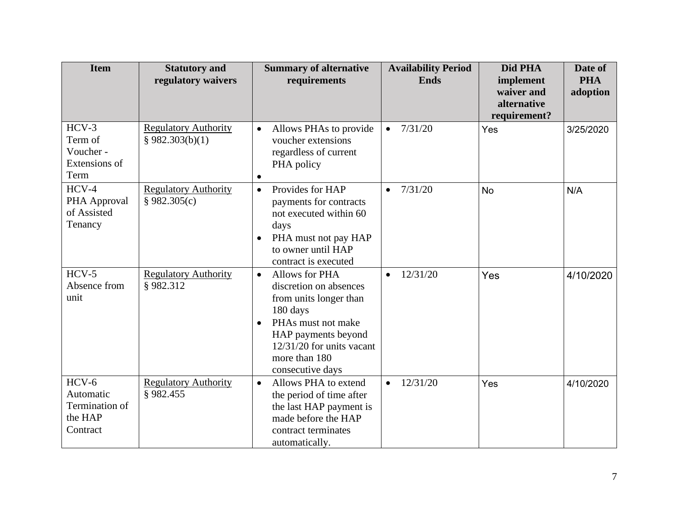| <b>Item</b>                                                   | <b>Statutory and</b><br>regulatory waivers     | <b>Summary of alternative</b><br>requirements                                                                                                                                                                             | <b>Availability Period</b><br><b>Ends</b> | Did PHA<br>implement<br>waiver and<br>alternative<br>requirement? | Date of<br><b>PHA</b><br>adoption |
|---------------------------------------------------------------|------------------------------------------------|---------------------------------------------------------------------------------------------------------------------------------------------------------------------------------------------------------------------------|-------------------------------------------|-------------------------------------------------------------------|-----------------------------------|
| $HCV-3$<br>Term of<br>Voucher -<br>Extensions of<br>Term      | <b>Regulatory Authority</b><br>§ 982.303(b)(1) | Allows PHAs to provide<br>$\bullet$<br>voucher extensions<br>regardless of current<br>PHA policy<br>$\bullet$                                                                                                             | 7/31/20<br>$\bullet$                      | Yes                                                               | 3/25/2020                         |
| $HCV-4$<br>PHA Approval<br>of Assisted<br>Tenancy             | <b>Regulatory Authority</b><br>§ 982.305(c)    | Provides for HAP<br>$\bullet$<br>payments for contracts<br>not executed within 60<br>days<br>PHA must not pay HAP<br>$\bullet$<br>to owner until HAP<br>contract is executed                                              | 7/31/20<br>$\bullet$                      | <b>No</b>                                                         | N/A                               |
| $HCV-5$<br>Absence from<br>unit                               | <b>Regulatory Authority</b><br>§982.312        | Allows for PHA<br>$\bullet$<br>discretion on absences<br>from units longer than<br>180 days<br>PHAs must not make<br>$\bullet$<br>HAP payments beyond<br>$12/31/20$ for units vacant<br>more than 180<br>consecutive days | 12/31/20<br>$\bullet$                     | Yes                                                               | 4/10/2020                         |
| $HCV-6$<br>Automatic<br>Termination of<br>the HAP<br>Contract | <b>Regulatory Authority</b><br>§982.455        | Allows PHA to extend<br>$\bullet$<br>the period of time after<br>the last HAP payment is<br>made before the HAP<br>contract terminates<br>automatically.                                                                  | 12/31/20<br>$\bullet$                     | Yes                                                               | 4/10/2020                         |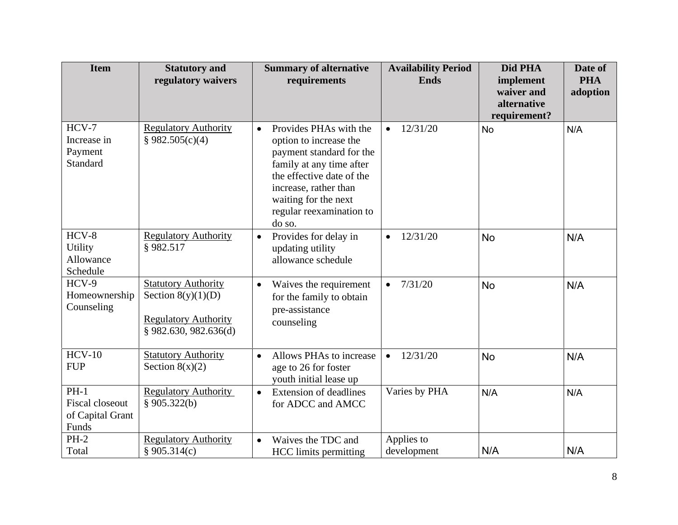| <b>Item</b>                                                   | <b>Statutory and</b>                                                                                         | <b>Summary of alternative</b>                                                                                                                                                                                                             | <b>Availability Period</b> | Did PHA      | Date of    |
|---------------------------------------------------------------|--------------------------------------------------------------------------------------------------------------|-------------------------------------------------------------------------------------------------------------------------------------------------------------------------------------------------------------------------------------------|----------------------------|--------------|------------|
|                                                               | regulatory waivers                                                                                           | requirements                                                                                                                                                                                                                              | <b>Ends</b>                | implement    | <b>PHA</b> |
|                                                               |                                                                                                              |                                                                                                                                                                                                                                           |                            | waiver and   | adoption   |
|                                                               |                                                                                                              |                                                                                                                                                                                                                                           |                            | alternative  |            |
|                                                               |                                                                                                              |                                                                                                                                                                                                                                           |                            | requirement? |            |
| $HCV-7$<br>Increase in<br>Payment<br>Standard                 | <b>Regulatory Authority</b><br>§ 982.505(c)(4)                                                               | Provides PHAs with the<br>$\bullet$<br>option to increase the<br>payment standard for the<br>family at any time after<br>the effective date of the<br>increase, rather than<br>waiting for the next<br>regular reexamination to<br>do so. | 12/31/20<br>$\bullet$      | <b>No</b>    | N/A        |
| $HCV-8$<br><b>Utility</b><br>Allowance<br>Schedule            | <b>Regulatory Authority</b><br>§982.517                                                                      | Provides for delay in<br>$\bullet$<br>updating utility<br>allowance schedule                                                                                                                                                              | 12/31/20<br>$\bullet$      | <b>No</b>    | N/A        |
| HCV-9<br>Homeownership<br>Counseling                          | <b>Statutory Authority</b><br>Section $8(y)(1)(D)$<br><b>Regulatory Authority</b><br>$§$ 982.630, 982.636(d) | Waives the requirement<br>$\bullet$<br>for the family to obtain<br>pre-assistance<br>counseling                                                                                                                                           | 7/31/20<br>$\bullet$       | <b>No</b>    | N/A        |
| $HCV-10$<br><b>FUP</b>                                        | <b>Statutory Authority</b><br>Section $8(x)(2)$                                                              | Allows PHAs to increase<br>$\bullet$<br>age to 26 for foster<br>youth initial lease up                                                                                                                                                    | 12/31/20<br>$\bullet$      | <b>No</b>    | N/A        |
| $PH-1$<br><b>Fiscal closeout</b><br>of Capital Grant<br>Funds | <b>Regulatory Authority</b><br>§ $905.322(b)$                                                                | <b>Extension of deadlines</b><br>$\bullet$<br>for ADCC and AMCC                                                                                                                                                                           | Varies by PHA              | N/A          | N/A        |
| $PH-2$                                                        | <b>Regulatory Authority</b>                                                                                  | Waives the TDC and<br>$\bullet$                                                                                                                                                                                                           | Applies to                 |              |            |
| Total                                                         | § 905.314(c)                                                                                                 | <b>HCC</b> limits permitting                                                                                                                                                                                                              | development                | N/A          | N/A        |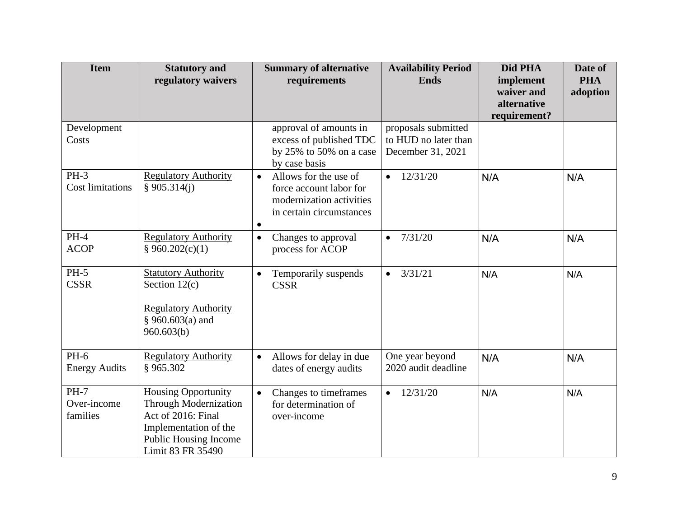| <b>Item</b>                       | <b>Statutory and</b><br>regulatory waivers                                                                                                                     | <b>Summary of alternative</b><br>requirements                                                                                      | <b>Availability Period</b><br><b>Ends</b>                        | Did PHA<br>implement<br>waiver and<br>alternative<br>requirement? | Date of<br><b>PHA</b><br>adoption |
|-----------------------------------|----------------------------------------------------------------------------------------------------------------------------------------------------------------|------------------------------------------------------------------------------------------------------------------------------------|------------------------------------------------------------------|-------------------------------------------------------------------|-----------------------------------|
| Development<br>Costs              |                                                                                                                                                                | approval of amounts in<br>excess of published TDC<br>by $25\%$ to $50\%$ on a case<br>by case basis                                | proposals submitted<br>to HUD no later than<br>December 31, 2021 |                                                                   |                                   |
| $PH-3$<br><b>Cost limitations</b> | <b>Regulatory Authority</b><br>\$905.314(i)                                                                                                                    | Allows for the use of<br>$\bullet$<br>force account labor for<br>modernization activities<br>in certain circumstances<br>$\bullet$ | 12/31/20                                                         | N/A                                                               | N/A                               |
| $PH-4$<br><b>ACOP</b>             | <b>Regulatory Authority</b><br>§ 960.202(c)(1)                                                                                                                 | Changes to approval<br>$\bullet$<br>process for ACOP                                                                               | 7/31/20<br>$\bullet$                                             | N/A                                                               | N/A                               |
| $PH-5$<br><b>CSSR</b>             | <b>Statutory Authority</b><br>Section $12(c)$<br><b>Regulatory Authority</b><br>§ 960.603(a) and<br>960.603(b)                                                 | Temporarily suspends<br>$\bullet$<br><b>CSSR</b>                                                                                   | 3/31/21<br>$\bullet$                                             | N/A                                                               | N/A                               |
| $PH-6$<br><b>Energy Audits</b>    | <b>Regulatory Authority</b><br>§ 965.302                                                                                                                       | Allows for delay in due<br>$\bullet$<br>dates of energy audits                                                                     | One year beyond<br>2020 audit deadline                           | N/A                                                               | N/A                               |
| $PH-7$<br>Over-income<br>families | <b>Housing Opportunity</b><br><b>Through Modernization</b><br>Act of 2016: Final<br>Implementation of the<br><b>Public Housing Income</b><br>Limit 83 FR 35490 | Changes to timeframes<br>$\bullet$<br>for determination of<br>over-income                                                          | $\bullet$ 12/31/20                                               | N/A                                                               | N/A                               |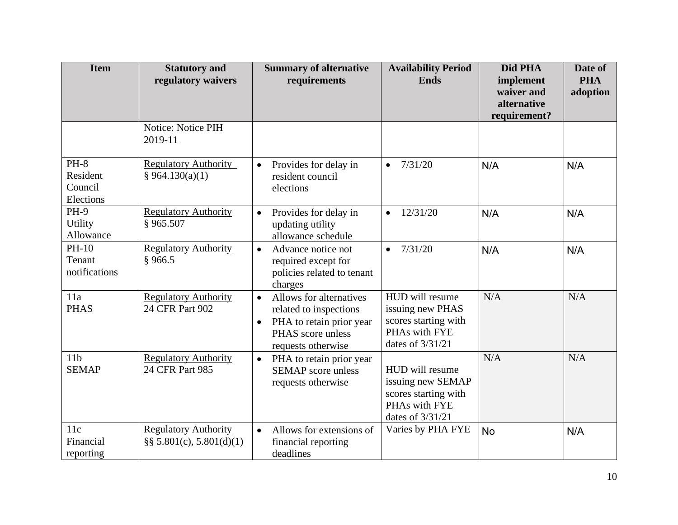| <b>Item</b>                                | <b>Statutory and</b><br>regulatory waivers                  | <b>Summary of alternative</b><br>requirements                                                                                                      | <b>Availability Period</b><br><b>Ends</b>                                                         | Did PHA<br>implement<br>waiver and<br>alternative<br>requirement? | Date of<br><b>PHA</b><br>adoption |
|--------------------------------------------|-------------------------------------------------------------|----------------------------------------------------------------------------------------------------------------------------------------------------|---------------------------------------------------------------------------------------------------|-------------------------------------------------------------------|-----------------------------------|
|                                            | Notice: Notice PIH<br>2019-11                               |                                                                                                                                                    |                                                                                                   |                                                                   |                                   |
| $PH-8$<br>Resident<br>Council<br>Elections | <b>Regulatory Authority</b><br>§ 964.130(a)(1)              | Provides for delay in<br>$\bullet$<br>resident council<br>elections                                                                                | 7/31/20<br>$\bullet$                                                                              | N/A                                                               | N/A                               |
| <b>PH-9</b><br>Utility<br>Allowance        | <b>Regulatory Authority</b><br>§ 965.507                    | Provides for delay in<br>$\bullet$<br>updating utility<br>allowance schedule                                                                       | 12/31/20<br>$\bullet$                                                                             | N/A                                                               | N/A                               |
| PH-10<br>Tenant<br>notifications           | <b>Regulatory Authority</b><br>§966.5                       | Advance notice not<br>$\bullet$<br>required except for<br>policies related to tenant<br>charges                                                    | 7/31/20<br>$\bullet$                                                                              | N/A                                                               | N/A                               |
| 11a<br><b>PHAS</b>                         | <b>Regulatory Authority</b><br>24 CFR Part 902              | Allows for alternatives<br>$\bullet$<br>related to inspections<br>PHA to retain prior year<br>$\bullet$<br>PHAS score unless<br>requests otherwise | HUD will resume<br>issuing new PHAS<br>scores starting with<br>PHAs with FYE<br>dates of 3/31/21  | N/A                                                               | N/A                               |
| 11 <sub>b</sub><br><b>SEMAP</b>            | <b>Regulatory Authority</b><br>24 CFR Part 985              | PHA to retain prior year<br>$\bullet$<br><b>SEMAP</b> score unless<br>requests otherwise                                                           | HUD will resume<br>issuing new SEMAP<br>scores starting with<br>PHAs with FYE<br>dates of 3/31/21 | N/A                                                               | N/A                               |
| 11c<br>Financial<br>reporting              | <b>Regulatory Authority</b><br>$\S$ § 5.801(c), 5.801(d)(1) | Allows for extensions of<br>$\bullet$<br>financial reporting<br>deadlines                                                                          | Varies by PHA FYE                                                                                 | <b>No</b>                                                         | N/A                               |